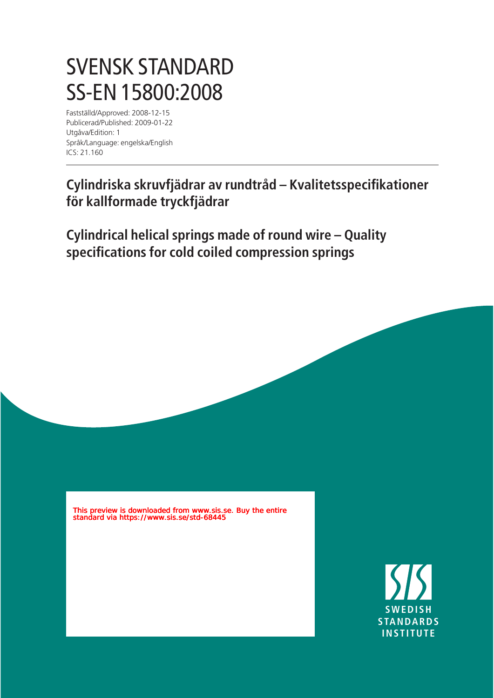## SVENSK STANDARD SS-EN 15800:2008

Fastställd/Approved: 2008-12-15 Publicerad/Published: 2009-01-22 Utgåva/Edition: 1 Språk/Language: engelska/English ICS: 21.160

## **Cylindriska skruvfjädrar av rundtråd – Kvalitetsspecifikationer för kallformade tryckfjädrar**

**Cylindrical helical springs made of round wire – Quality specifications for cold coiled compression springs**

This preview is downloaded from www.sis.se. Buy the entire standard via https://www.sis.se/std-68445

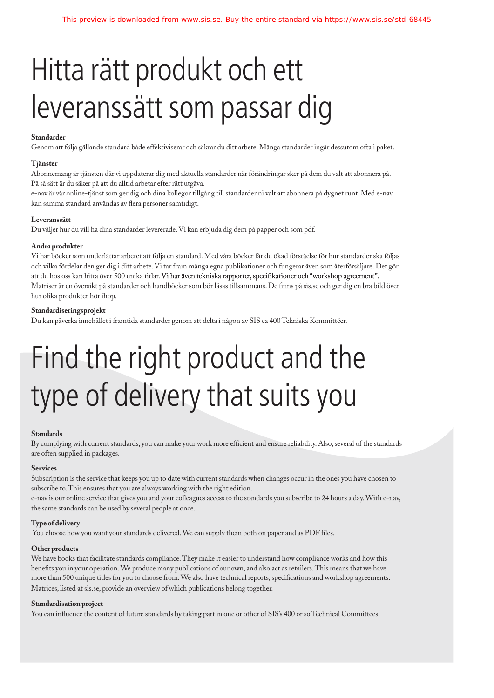## Hitta rätt produkt och ett leveranssätt som passar dig

### **Standarder**

Genom att följa gällande standard både effektiviserar och säkrar du ditt arbete. Många standarder ingår dessutom ofta i paket.

#### **Tjänster**

Abonnemang är tjänsten där vi uppdaterar dig med aktuella standarder när förändringar sker på dem du valt att abonnera på. På så sätt är du säker på att du alltid arbetar efter rätt utgåva.

e-nav är vår online-tjänst som ger dig och dina kollegor tillgång till standarder ni valt att abonnera på dygnet runt. Med e-nav kan samma standard användas av flera personer samtidigt.

#### **Leveranssätt**

Du väljer hur du vill ha dina standarder levererade. Vi kan erbjuda dig dem på papper och som pdf.

#### **Andra produkter**

Vi har böcker som underlättar arbetet att följa en standard. Med våra böcker får du ökad förståelse för hur standarder ska följas och vilka fördelar den ger dig i ditt arbete. Vi tar fram många egna publikationer och fungerar även som återförsäljare. Det gör att du hos oss kan hitta över 500 unika titlar. Vi har även tekniska rapporter, specifikationer och "workshop agreement". Matriser är en översikt på standarder och handböcker som bör läsas tillsammans. De finns på sis.se och ger dig en bra bild över hur olika produkter hör ihop.

### **Standardiseringsprojekt**

Du kan påverka innehållet i framtida standarder genom att delta i någon av SIS ca 400 Tekniska Kommittéer.

# Find the right product and the type of delivery that suits you

#### **Standards**

By complying with current standards, you can make your work more efficient and ensure reliability. Also, several of the standards are often supplied in packages.

#### **Services**

Subscription is the service that keeps you up to date with current standards when changes occur in the ones you have chosen to subscribe to. This ensures that you are always working with the right edition.

e-nav is our online service that gives you and your colleagues access to the standards you subscribe to 24 hours a day. With e-nav, the same standards can be used by several people at once.

#### **Type of delivery**

You choose how you want your standards delivered. We can supply them both on paper and as PDF files.

#### **Other products**

We have books that facilitate standards compliance. They make it easier to understand how compliance works and how this benefits you in your operation. We produce many publications of our own, and also act as retailers. This means that we have more than 500 unique titles for you to choose from. We also have technical reports, specifications and workshop agreements. Matrices, listed at sis.se, provide an overview of which publications belong together.

#### **Standardisation project**

You can influence the content of future standards by taking part in one or other of SIS's 400 or so Technical Committees.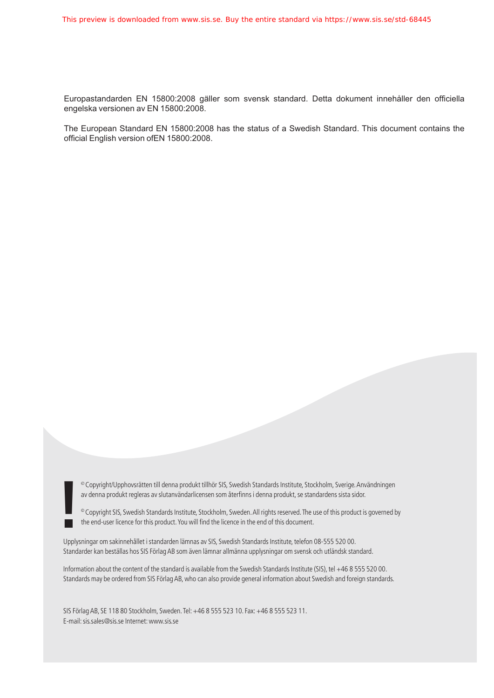Europastandarden EN 15800:2008 gäller som svensk standard. Detta dokument innehåller den officiella engelska versionen av EN 15800:2008.

The European Standard EN 15800:2008 has the status of a Swedish Standard. This document contains the official English version ofEN 15800:2008.

av denna produkt regleras av slutanvändarlicensen som återfinns i denna produkt, se standardens sista sidor.

<sup>©</sup> Copyright/Upphovsrätten till denna produkt tillhör SIS, Swedish Standards Institute, Stockholm, Sverige. Användningen<br>av denna produkt regleras av slutanvändarlicensen som återfinns i denna produkt, se standardens sis

Upplysningar om sakinnehållet i standarden lämnas av SIS, Swedish Standards Institute, telefon 08-555 520 00. Standarder kan beställas hos SIS Förlag AB som även lämnar allmänna upplysningar om svensk och utländsk standard.

Information about the content of the standard is available from the Swedish Standards Institute (SIS), tel +46 8 555 520 00. Standards may be ordered from SIS Förlag AB, who can also provide general information about Swedish and foreign standards.

SIS Förlag AB, SE 118 80 Stockholm, Sweden. Tel: +46 8 555 523 10. Fax: +46 8 555 523 11. E-mail: sis.sales@sis.se Internet: www.sis.se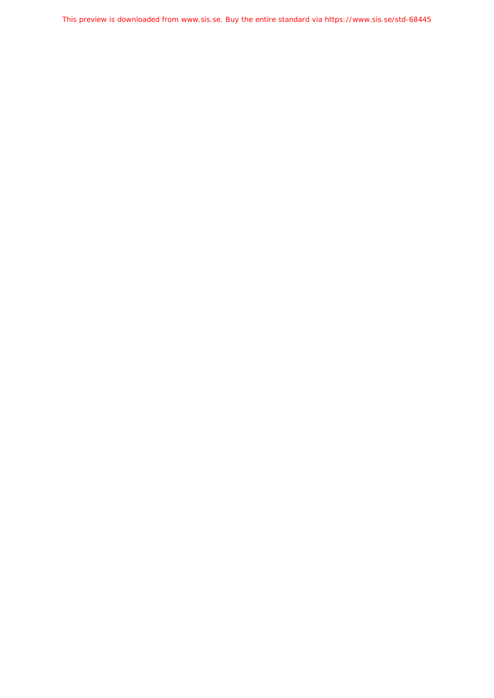This preview is downloaded from www.sis.se. Buy the entire standard via https://www.sis.se/std-68445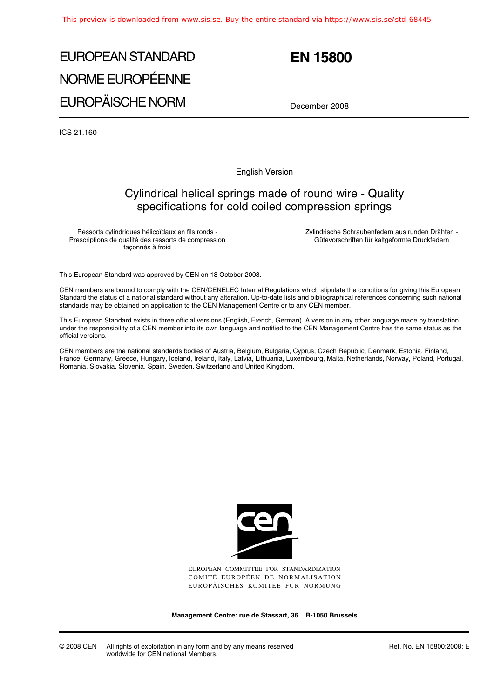## EUROPEAN STANDARD NORME EUROPÉENNE EUROPÄISCHE NORM

## **EN 15800**

December 2008

ICS 21.160

English Version

## Cylindrical helical springs made of round wire - Quality specifications for cold coiled compression springs

Ressorts cylindriques hélicoïdaux en fils ronds - Prescriptions de qualité des ressorts de compression façonnés à froid

Zylindrische Schraubenfedern aus runden Drähten - Gütevorschriften für kaltgeformte Druckfedern

This European Standard was approved by CEN on 18 October 2008.

CEN members are bound to comply with the CEN/CENELEC Internal Regulations which stipulate the conditions for giving this European Standard the status of a national standard without any alteration. Up-to-date lists and bibliographical references concerning such national standards may be obtained on application to the CEN Management Centre or to any CEN member.

This European Standard exists in three official versions (English, French, German). A version in any other language made by translation under the responsibility of a CEN member into its own language and notified to the CEN Management Centre has the same status as the official versions.

CEN members are the national standards bodies of Austria, Belgium, Bulgaria, Cyprus, Czech Republic, Denmark, Estonia, Finland, France, Germany, Greece, Hungary, Iceland, Ireland, Italy, Latvia, Lithuania, Luxembourg, Malta, Netherlands, Norway, Poland, Portugal, Romania, Slovakia, Slovenia, Spain, Sweden, Switzerland and United Kingdom.



EUROPEAN COMMITTEE FOR STANDARDIZATION COMITÉ EUROPÉEN DE NORMALISATION EUROPÄISCHES KOMITEE FÜR NORMUNG

**Management Centre: rue de Stassart, 36 B-1050 Brussels**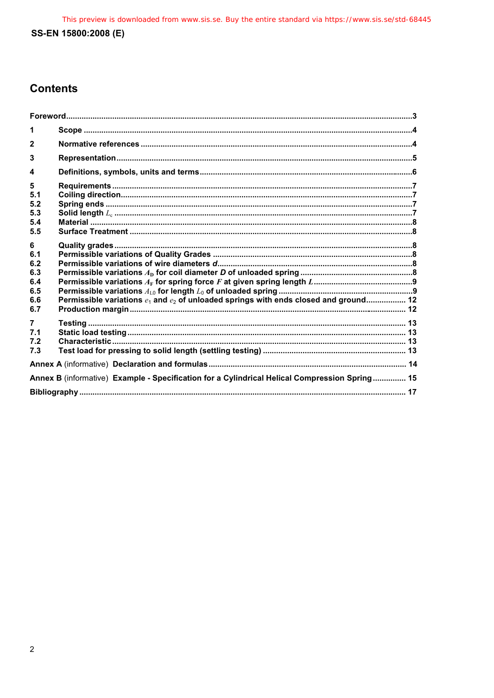## SS-EN 15800:2008 (E)

## **Contents**

| 1                                                                                             |                                                                                           |  |  |
|-----------------------------------------------------------------------------------------------|-------------------------------------------------------------------------------------------|--|--|
| $\mathbf{2}$                                                                                  |                                                                                           |  |  |
| 3                                                                                             |                                                                                           |  |  |
| 4                                                                                             |                                                                                           |  |  |
| 5<br>5.1<br>5.2<br>5.3<br>5.4<br>5.5                                                          |                                                                                           |  |  |
| 6<br>6.1<br>6.2<br>6.3<br>6.4<br>6.5<br>6.6<br>6.7                                            | Permissible variations $e_1$ and $e_2$ of unloaded springs with ends closed and ground 12 |  |  |
| $\overline{7}$<br>7.1<br>7.2<br>7.3                                                           |                                                                                           |  |  |
|                                                                                               |                                                                                           |  |  |
| Annex B (informative) Example - Specification for a Cylindrical Helical Compression Spring 15 |                                                                                           |  |  |
|                                                                                               |                                                                                           |  |  |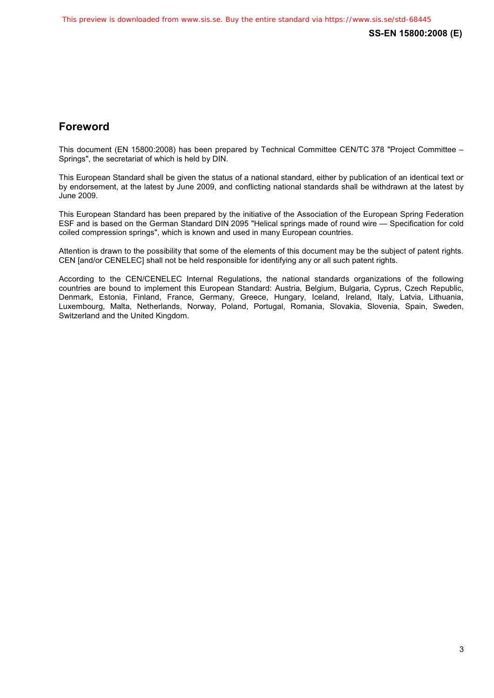## **Foreword**

This document (EN 15800:2008) has been prepared by Technical Committee CEN/TC 378 "Project Committee – Springs", the secretariat of which is held by DIN.

This European Standard shall be given the status of a national standard, either by publication of an identical text or by endorsement, at the latest by June 2009, and conflicting national standards shall be withdrawn at the latest by June 2009.

This European Standard has been prepared by the initiative of the Association of the European Spring Federation ESF and is based on the German Standard DIN 2095 "Helical springs made of round wire — Specification for cold coiled compression springs", which is known and used in many European countries.

Attention is drawn to the possibility that some of the elements of this document may be the subject of patent rights. CEN [and/or CENELEC] shall not be held responsible for identifying any or all such patent rights.

According to the CEN/CENELEC Internal Regulations, the national standards organizations of the following countries are bound to implement this European Standard: Austria, Belgium, Bulgaria, Cyprus, Czech Republic, Denmark, Estonia, Finland, France, Germany, Greece, Hungary, Iceland, Ireland, Italy, Latvia, Lithuania, Luxembourg, Malta, Netherlands, Norway, Poland, Portugal, Romania, Slovakia, Slovenia, Spain, Sweden, Switzerland and the United Kingdom.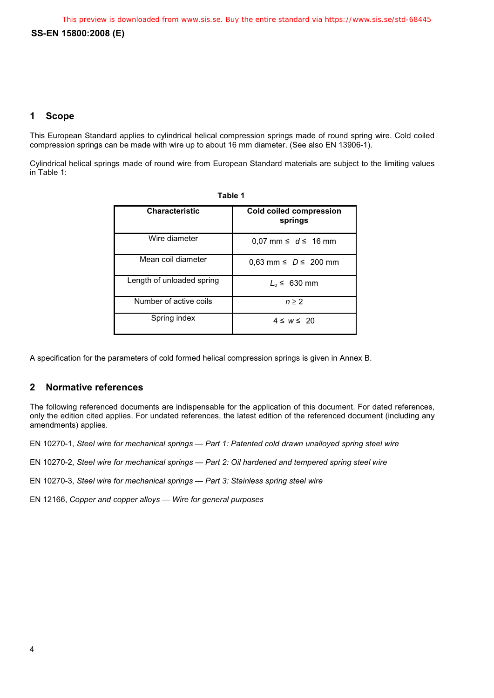## **SS-EN 15800:2008 (E)**

## **1 Scope**

This European Standard applies to cylindrical helical compression springs made of round spring wire. Cold coiled compression springs can be made with wire up to about 16 mm diameter. (See also EN 13906-1).

Cylindrical helical springs made of round wire from European Standard materials are subject to the limiting values in Table 1:

| Table 1                   |                                    |  |  |  |
|---------------------------|------------------------------------|--|--|--|
| <b>Characteristic</b>     | Cold coiled compression<br>springs |  |  |  |
| Wire diameter             | $0.07$ mm $\leq d \leq 16$ mm      |  |  |  |
| Mean coil diameter        | $0.63$ mm $\leq$ $D \leq 200$ mm   |  |  |  |
| Length of unloaded spring | $L_0 \leq 630$ mm                  |  |  |  |
| Number of active coils    | n > 2                              |  |  |  |
| Spring index              | $4 \leq w \leq 20$                 |  |  |  |

A specification for the parameters of cold formed helical compression springs is given in Annex B.

## **2 Normative references**

The following referenced documents are indispensable for the application of this document. For dated references, only the edition cited applies. For undated references, the latest edition of the referenced document (including any amendments) applies.

EN 10270-1, *Steel wire for mechanical springs — Part 1: Patented cold drawn unalloyed spring steel wire*

EN 10270-2, *Steel wire for mechanical springs — Part 2: Oil hardened and tempered spring steel wire*

EN 10270-3, *Steel wire for mechanical springs — Part 3: Stainless spring steel wire*

EN 12166, *Copper and copper alloys — Wire for general purposes*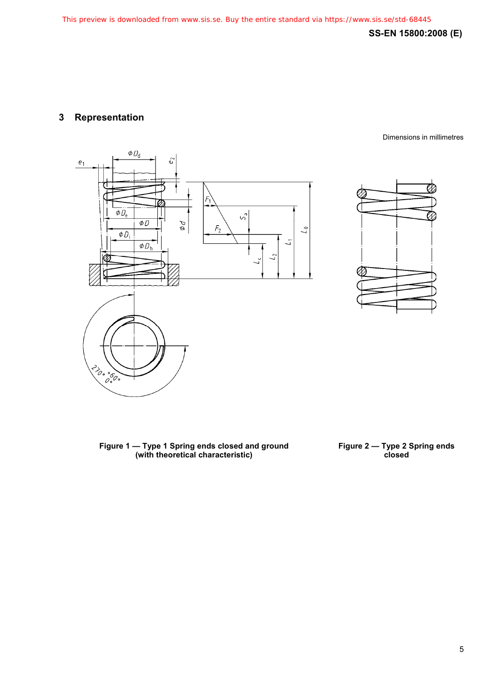## **3 Representation**

Dimensions in millimetres



**Figure 1 — Type 1 Spring ends closed and ground (with theoretical characteristic)** 

**Figure 2 — Type 2 Spring ends closed**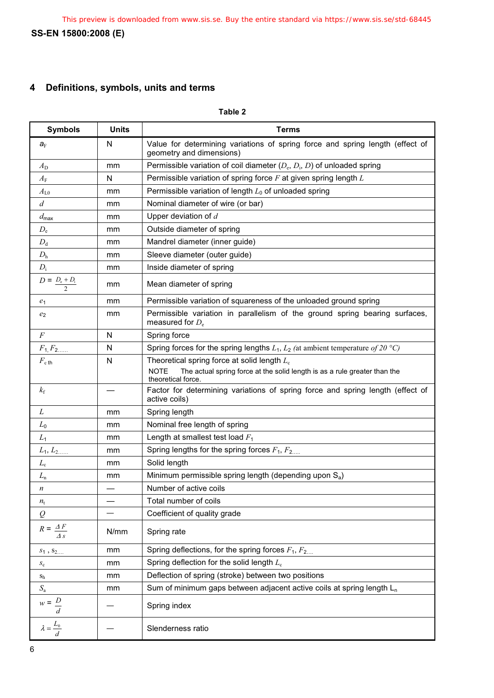## **4 Definitions, symbols, units and terms**

**Table 2** 

| <b>Symbols</b>                        | <b>Units</b> | <b>Terms</b>                                                                                                                                                     |
|---------------------------------------|--------------|------------------------------------------------------------------------------------------------------------------------------------------------------------------|
| $\pmb{\mathit{a}}_\text{F}$           | N            | Value for determining variations of spring force and spring length (effect of<br>geometry and dimensions)                                                        |
| $A_{\rm D}$                           | mm           | Permissible variation of coil diameter $(D_e, D_i, D)$ of unloaded spring                                                                                        |
| $A_{\rm F}$                           | N            | Permissible variation of spring force $F$ at given spring length $L$                                                                                             |
| $A_{L0}$                              | mm           | Permissible variation of length $L_0$ of unloaded spring                                                                                                         |
| $\overline{d}$                        | mm           | Nominal diameter of wire (or bar)                                                                                                                                |
| $d_{\max}$                            | mm           | Upper deviation of $d$                                                                                                                                           |
| $D_{\rm e}$                           | mm           | Outside diameter of spring                                                                                                                                       |
| $D_{d}$                               | mm           | Mandrel diameter (inner guide)                                                                                                                                   |
| $D_{\rm h}$                           | mm           | Sleeve diameter (outer guide)                                                                                                                                    |
| $D_i$                                 | mm           | Inside diameter of spring                                                                                                                                        |
| $D = \underline{D_e + D_i}$           | mm           | Mean diameter of spring                                                                                                                                          |
| e <sub>1</sub>                        | mm           | Permissible variation of squareness of the unloaded ground spring                                                                                                |
| $e_2$                                 | mm           | Permissible variation in parallelism of the ground spring bearing surfaces,<br>measured for $D_{\rm e}$                                                          |
| F                                     | N            | Spring force                                                                                                                                                     |
| $F_1, F_2, \ldots$                    | $\mathsf{N}$ | Spring forces for the spring lengths $L_1$ , $L_2$ (at ambient temperature of 20 °C)                                                                             |
| $F_{\rm c\,th}$                       | N            | Theoretical spring force at solid length $L_c$<br><b>NOTE</b><br>The actual spring force at the solid length is as a rule greater than the<br>theoretical force. |
| $k_{\rm f}$                           |              | Factor for determining variations of spring force and spring length (effect of<br>active coils)                                                                  |
| L                                     | mm           | Spring length                                                                                                                                                    |
| $L_0$                                 | mm           | Nominal free length of spring                                                                                                                                    |
| $L_1$                                 | mm           | Length at smallest test load $F_1$                                                                                                                               |
| $L_1, L_2, \ldots$                    | mm           | Spring lengths for the spring forces $F_1, F_2, \ldots$                                                                                                          |
| $L_{\rm c}$                           | mm           | Solid length                                                                                                                                                     |
| $L_{\rm n}$                           | mm           | Minimum permissible spring length (depending upon S <sub>a</sub> )                                                                                               |
| n                                     |              | Number of active coils                                                                                                                                           |
| $n_{\rm t}$                           |              | Total number of coils                                                                                                                                            |
| $\mathcal{Q}$                         |              | Coefficient of quality grade                                                                                                                                     |
| $R = \underline{A}F$<br>$\varDelta$ s | N/mm         | Spring rate                                                                                                                                                      |
| $s_1$ , $s_{2}$                       | mm           | Spring deflections, for the spring forces $F_1, F_2$                                                                                                             |
| $S_{\rm c}$                           | mm           | Spring deflection for the solid length $L_c$                                                                                                                     |
| $\mathbf{S}_\text{h}$                 | mm           | Deflection of spring (stroke) between two positions                                                                                                              |
| $S_{\rm a}$                           | mm           | Sum of minimum gaps between adjacent active coils at spring length L <sub>n</sub>                                                                                |
| $w =$                                 |              | Spring index                                                                                                                                                     |
| $\lambda =$                           |              | Slenderness ratio                                                                                                                                                |